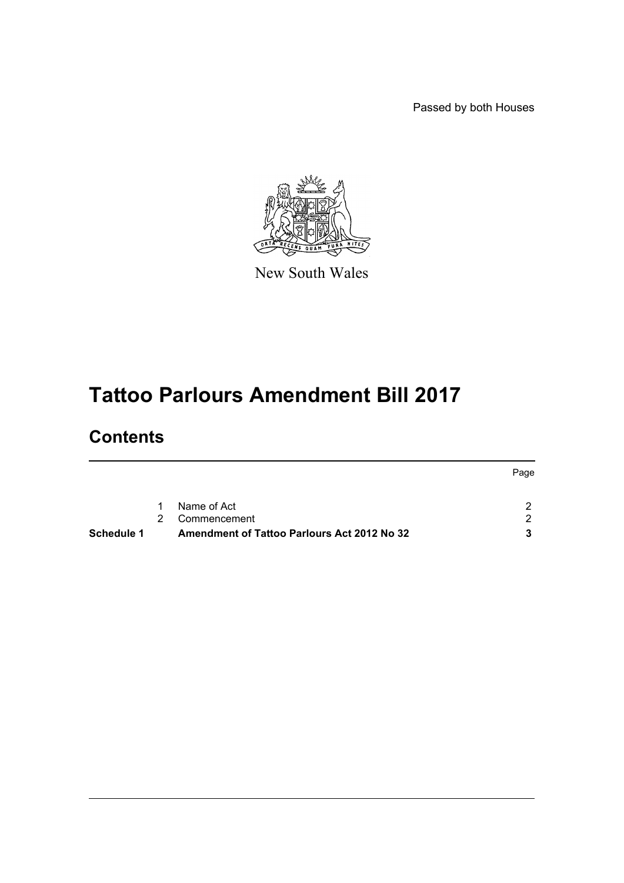Passed by both Houses



New South Wales

# **Tattoo Parlours Amendment Bill 2017**

## **Contents**

| <b>Schedule 1</b> |             | Amendment of Tattoo Parlours Act 2012 No 32 |      |
|-------------------|-------------|---------------------------------------------|------|
|                   | $2^{\circ}$ | Commencement                                | ົາ   |
|                   | $\sim$ 1    | Name of Act                                 |      |
|                   |             |                                             | Page |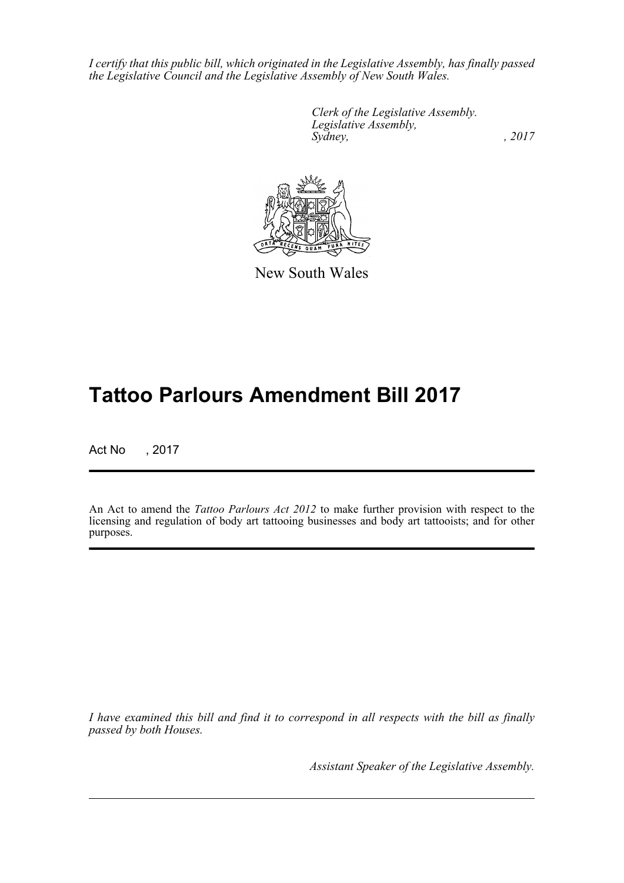*I certify that this public bill, which originated in the Legislative Assembly, has finally passed the Legislative Council and the Legislative Assembly of New South Wales.*

> *Clerk of the Legislative Assembly. Legislative Assembly, Sydney,* , 2017



New South Wales

## **Tattoo Parlours Amendment Bill 2017**

Act No , 2017

An Act to amend the *Tattoo Parlours Act 2012* to make further provision with respect to the licensing and regulation of body art tattooing businesses and body art tattooists; and for other purposes.

*I have examined this bill and find it to correspond in all respects with the bill as finally passed by both Houses.*

*Assistant Speaker of the Legislative Assembly.*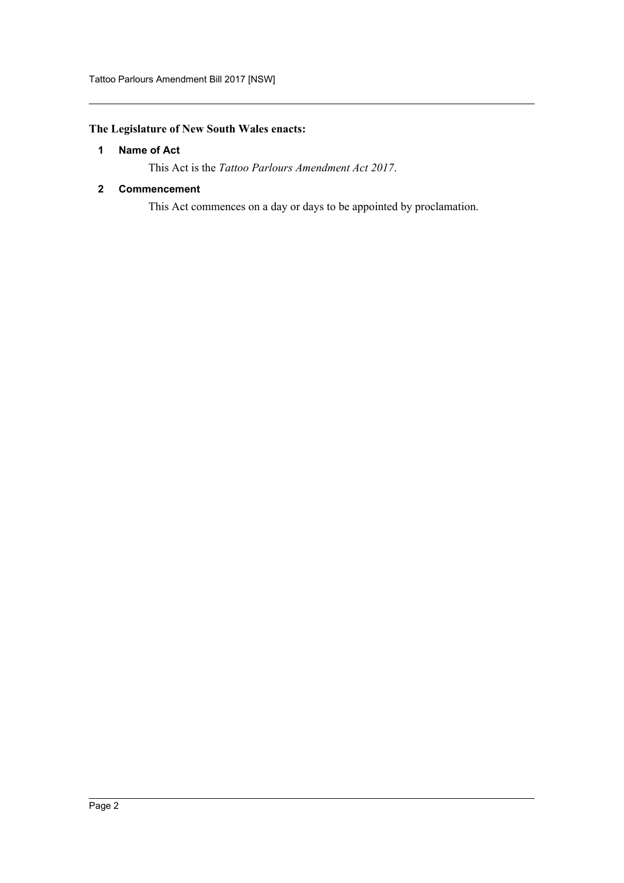## <span id="page-2-0"></span>**The Legislature of New South Wales enacts:**

## **1 Name of Act**

This Act is the *Tattoo Parlours Amendment Act 2017*.

## <span id="page-2-1"></span>**2 Commencement**

This Act commences on a day or days to be appointed by proclamation.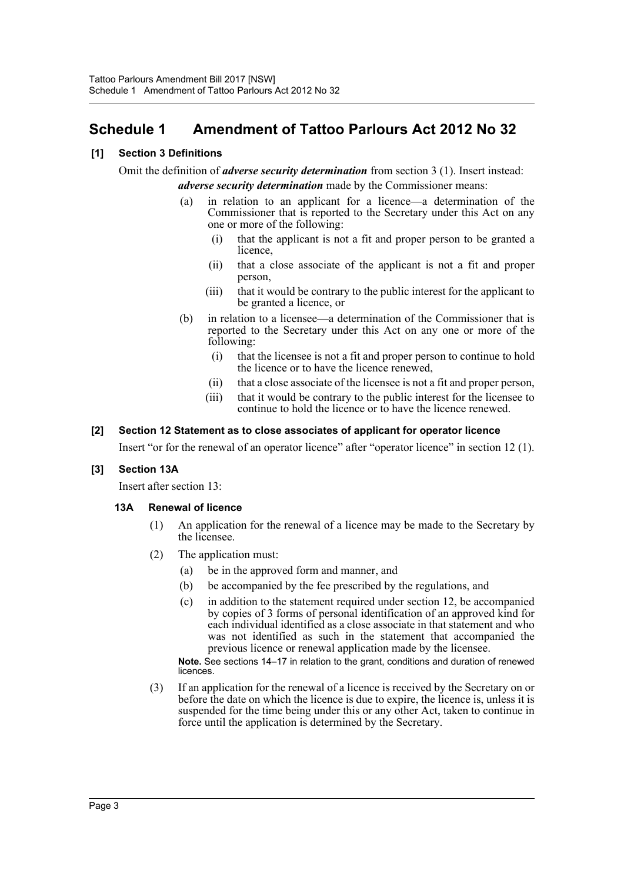## <span id="page-3-0"></span>**Schedule 1 Amendment of Tattoo Parlours Act 2012 No 32**

## **[1] Section 3 Definitions**

Omit the definition of *adverse security determination* from section 3 (1). Insert instead: *adverse security determination* made by the Commissioner means:

- (a) in relation to an applicant for a licence—a determination of the Commissioner that is reported to the Secretary under this Act on any one or more of the following:
	- (i) that the applicant is not a fit and proper person to be granted a licence,
	- (ii) that a close associate of the applicant is not a fit and proper person,
	- (iii) that it would be contrary to the public interest for the applicant to be granted a licence, or
- (b) in relation to a licensee—a determination of the Commissioner that is reported to the Secretary under this Act on any one or more of the following:
	- (i) that the licensee is not a fit and proper person to continue to hold the licence or to have the licence renewed,
	- (ii) that a close associate of the licensee is not a fit and proper person,
	- (iii) that it would be contrary to the public interest for the licensee to continue to hold the licence or to have the licence renewed.

#### **[2] Section 12 Statement as to close associates of applicant for operator licence**

Insert "or for the renewal of an operator licence" after "operator licence" in section 12 (1).

#### **[3] Section 13A**

Insert after section 13:

## **13A Renewal of licence**

- (1) An application for the renewal of a licence may be made to the Secretary by the licensee.
- (2) The application must:
	- (a) be in the approved form and manner, and
	- (b) be accompanied by the fee prescribed by the regulations, and
	- (c) in addition to the statement required under section 12, be accompanied by copies of 3 forms of personal identification of an approved kind for each individual identified as a close associate in that statement and who was not identified as such in the statement that accompanied the previous licence or renewal application made by the licensee.

**Note.** See sections 14–17 in relation to the grant, conditions and duration of renewed licences.

(3) If an application for the renewal of a licence is received by the Secretary on or before the date on which the licence is due to expire, the licence is, unless it is suspended for the time being under this or any other Act, taken to continue in force until the application is determined by the Secretary.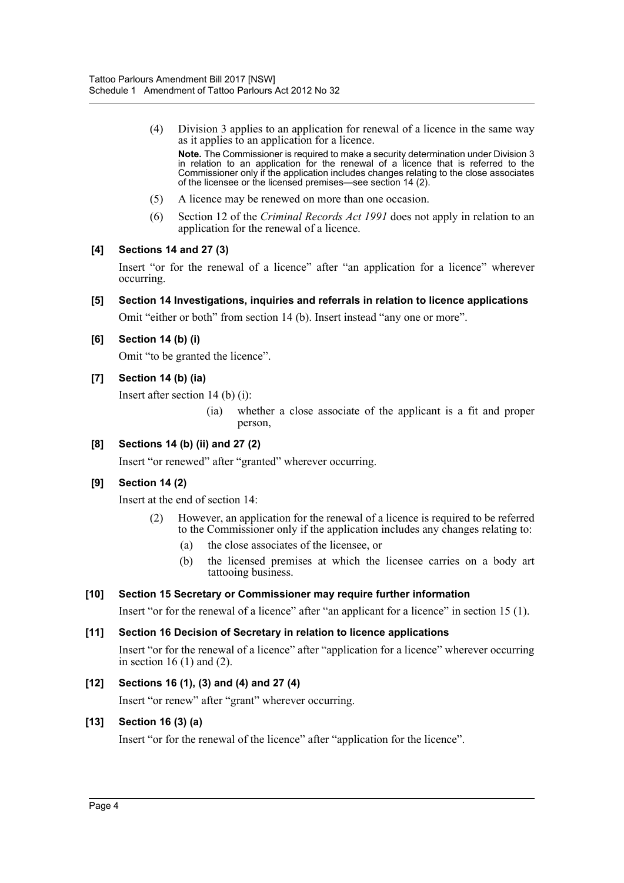(4) Division 3 applies to an application for renewal of a licence in the same way as it applies to an application for a licence.

**Note.** The Commissioner is required to make a security determination under Division 3 in relation to an application for the renewal of a licence that is referred to the Commissioner only if the application includes changes relating to the close associates of the licensee or the licensed premises—see section 14 (2).

- (5) A licence may be renewed on more than one occasion.
- (6) Section 12 of the *Criminal Records Act 1991* does not apply in relation to an application for the renewal of a licence.

#### **[4] Sections 14 and 27 (3)**

Insert "or for the renewal of a licence" after "an application for a licence" wherever occurring.

#### **[5] Section 14 Investigations, inquiries and referrals in relation to licence applications**

Omit "either or both" from section 14 (b). Insert instead "any one or more".

#### **[6] Section 14 (b) (i)**

Omit "to be granted the licence".

#### **[7] Section 14 (b) (ia)**

Insert after section 14 (b) (i):

(ia) whether a close associate of the applicant is a fit and proper person,

## **[8] Sections 14 (b) (ii) and 27 (2)**

Insert "or renewed" after "granted" wherever occurring.

## **[9] Section 14 (2)**

Insert at the end of section 14:

- (2) However, an application for the renewal of a licence is required to be referred to the Commissioner only if the application includes any changes relating to:
	- (a) the close associates of the licensee, or
	- (b) the licensed premises at which the licensee carries on a body art tattooing business.

#### **[10] Section 15 Secretary or Commissioner may require further information**

Insert "or for the renewal of a licence" after "an applicant for a licence" in section 15 (1).

#### **[11] Section 16 Decision of Secretary in relation to licence applications**

Insert "or for the renewal of a licence" after "application for a licence" wherever occurring in section 16 $(1)$  and  $(2)$ .

#### **[12] Sections 16 (1), (3) and (4) and 27 (4)**

Insert "or renew" after "grant" wherever occurring.

#### **[13] Section 16 (3) (a)**

Insert "or for the renewal of the licence" after "application for the licence".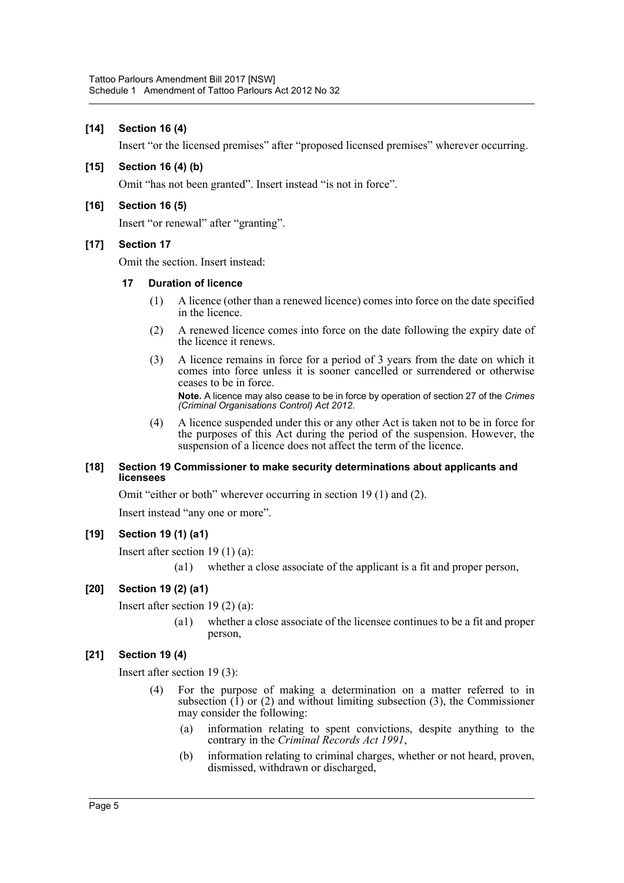### **[14] Section 16 (4)**

Insert "or the licensed premises" after "proposed licensed premises" wherever occurring.

#### **[15] Section 16 (4) (b)**

Omit "has not been granted". Insert instead "is not in force".

#### **[16] Section 16 (5)**

Insert "or renewal" after "granting".

#### **[17] Section 17**

Omit the section. Insert instead:

#### **17 Duration of licence**

- (1) A licence (other than a renewed licence) comes into force on the date specified in the licence.
- (2) A renewed licence comes into force on the date following the expiry date of the licence it renews.
- (3) A licence remains in force for a period of 3 years from the date on which it comes into force unless it is sooner cancelled or surrendered or otherwise ceases to be in force.

**Note.** A licence may also cease to be in force by operation of section 27 of the *Crimes (Criminal Organisations Control) Act 2012*.

(4) A licence suspended under this or any other Act is taken not to be in force for the purposes of this Act during the period of the suspension. However, the suspension of a licence does not affect the term of the licence.

#### **[18] Section 19 Commissioner to make security determinations about applicants and licensees**

Omit "either or both" wherever occurring in section 19 (1) and (2).

Insert instead "any one or more".

#### **[19] Section 19 (1) (a1)**

Insert after section 19 (1) (a):

(a1) whether a close associate of the applicant is a fit and proper person,

#### **[20] Section 19 (2) (a1)**

Insert after section 19 (2) (a):

(a1) whether a close associate of the licensee continues to be a fit and proper person,

#### **[21] Section 19 (4)**

Insert after section 19 (3):

- (4) For the purpose of making a determination on a matter referred to in subsection  $(1)$  or  $(2)$  and without limiting subsection  $(3)$ , the Commissioner may consider the following:
	- (a) information relating to spent convictions, despite anything to the contrary in the *Criminal Records Act 1991*,
	- (b) information relating to criminal charges, whether or not heard, proven, dismissed, withdrawn or discharged,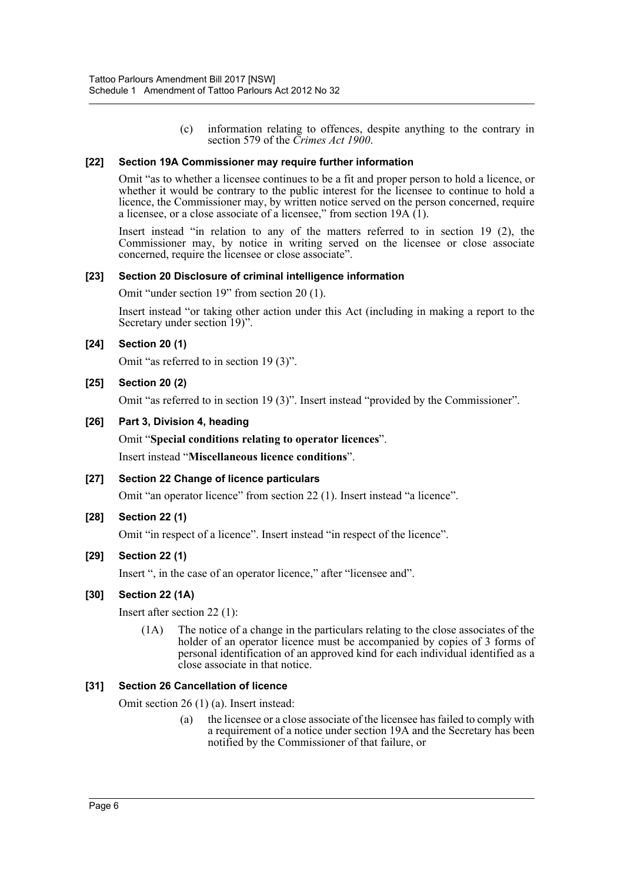(c) information relating to offences, despite anything to the contrary in section 579 of the *Crimes Act 1900*.

#### **[22] Section 19A Commissioner may require further information**

Omit "as to whether a licensee continues to be a fit and proper person to hold a licence, or whether it would be contrary to the public interest for the licensee to continue to hold a licence, the Commissioner may, by written notice served on the person concerned, require a licensee, or a close associate of a licensee," from section  $19A(1)$ .

Insert instead "in relation to any of the matters referred to in section 19 (2), the Commissioner may, by notice in writing served on the licensee or close associate concerned, require the licensee or close associate".

#### **[23] Section 20 Disclosure of criminal intelligence information**

Omit "under section 19" from section 20 (1).

Insert instead "or taking other action under this Act (including in making a report to the Secretary under section 19)".

#### **[24] Section 20 (1)**

Omit "as referred to in section 19 (3)".

#### **[25] Section 20 (2)**

Omit "as referred to in section 19 (3)". Insert instead "provided by the Commissioner".

#### **[26] Part 3, Division 4, heading**

Omit "**Special conditions relating to operator licences**".

Insert instead "**Miscellaneous licence conditions**".

#### **[27] Section 22 Change of licence particulars**

Omit "an operator licence" from section 22 (1). Insert instead "a licence".

#### **[28] Section 22 (1)**

Omit "in respect of a licence". Insert instead "in respect of the licence".

## **[29] Section 22 (1)**

Insert ", in the case of an operator licence," after "licensee and".

#### **[30] Section 22 (1A)**

Insert after section 22 (1):

(1A) The notice of a change in the particulars relating to the close associates of the holder of an operator licence must be accompanied by copies of 3 forms of personal identification of an approved kind for each individual identified as a close associate in that notice.

#### **[31] Section 26 Cancellation of licence**

Omit section 26 (1) (a). Insert instead:

(a) the licensee or a close associate of the licensee has failed to comply with a requirement of a notice under section 19A and the Secretary has been notified by the Commissioner of that failure, or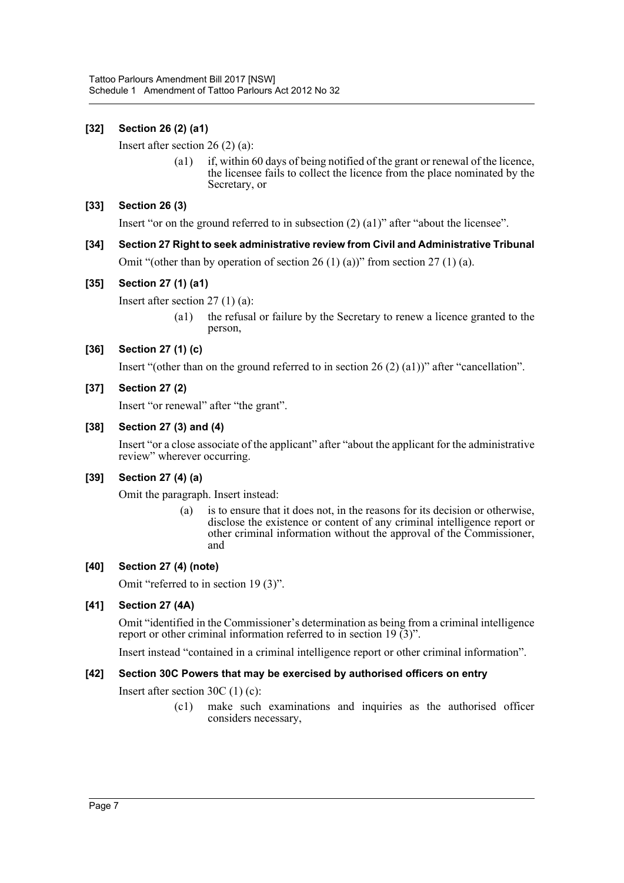## **[32] Section 26 (2) (a1)**

Insert after section 26 (2) (a):

(a1) if, within 60 days of being notified of the grant or renewal of the licence, the licensee fails to collect the licence from the place nominated by the Secretary, or

## **[33] Section 26 (3)**

Insert "or on the ground referred to in subsection (2) (a1)" after "about the licensee".

**[34] Section 27 Right to seek administrative review from Civil and Administrative Tribunal** Omit "(other than by operation of section  $26 (1) (a)$ " from section  $27 (1) (a)$ .

## **[35] Section 27 (1) (a1)**

Insert after section 27 (1) (a):

(a1) the refusal or failure by the Secretary to renew a licence granted to the person,

## **[36] Section 27 (1) (c)**

Insert "(other than on the ground referred to in section 26 (2) (a1))" after "cancellation".

#### **[37] Section 27 (2)**

Insert "or renewal" after "the grant".

#### **[38] Section 27 (3) and (4)**

Insert "or a close associate of the applicant" after "about the applicant for the administrative review" wherever occurring.

## **[39] Section 27 (4) (a)**

Omit the paragraph. Insert instead:

(a) is to ensure that it does not, in the reasons for its decision or otherwise, disclose the existence or content of any criminal intelligence report or other criminal information without the approval of the Commissioner, and

## **[40] Section 27 (4) (note)**

Omit "referred to in section 19 (3)".

## **[41] Section 27 (4A)**

Omit "identified in the Commissioner's determination as being from a criminal intelligence report or other criminal information referred to in section 19 (3)".

Insert instead "contained in a criminal intelligence report or other criminal information".

## **[42] Section 30C Powers that may be exercised by authorised officers on entry**

Insert after section 30C (1) (c):

(c1) make such examinations and inquiries as the authorised officer considers necessary,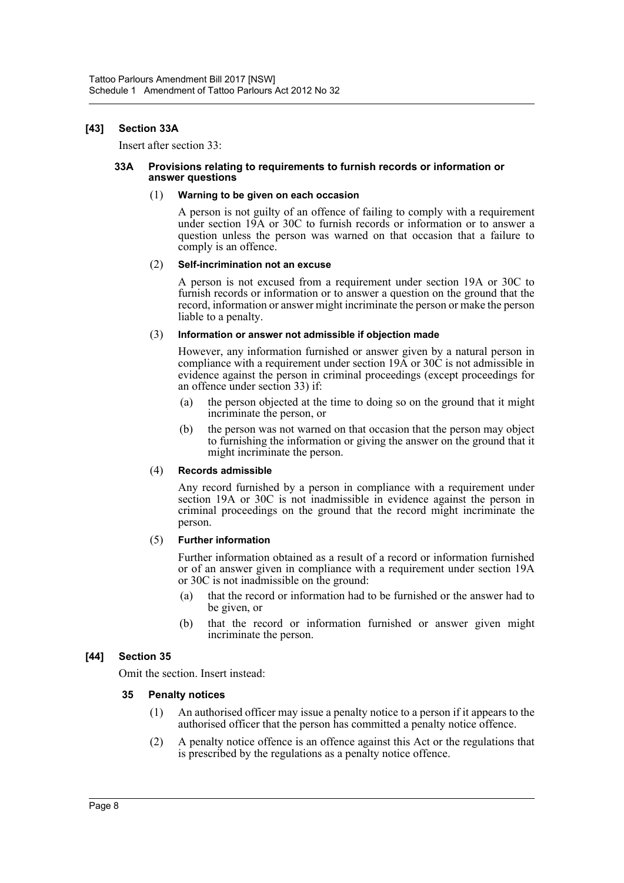#### **[43] Section 33A**

Insert after section 33:

#### **33A Provisions relating to requirements to furnish records or information or answer questions**

#### (1) **Warning to be given on each occasion**

A person is not guilty of an offence of failing to comply with a requirement under section 19A or 30C to furnish records or information or to answer a question unless the person was warned on that occasion that a failure to comply is an offence.

#### (2) **Self-incrimination not an excuse**

A person is not excused from a requirement under section 19A or 30C to furnish records or information or to answer a question on the ground that the record, information or answer might incriminate the person or make the person liable to a penalty.

#### (3) **Information or answer not admissible if objection made**

However, any information furnished or answer given by a natural person in compliance with a requirement under section 19A or 30C is not admissible in evidence against the person in criminal proceedings (except proceedings for an offence under section 33) if:

- (a) the person objected at the time to doing so on the ground that it might incriminate the person, or
- (b) the person was not warned on that occasion that the person may object to furnishing the information or giving the answer on the ground that it might incriminate the person.

#### (4) **Records admissible**

Any record furnished by a person in compliance with a requirement under section 19A or 30C is not inadmissible in evidence against the person in criminal proceedings on the ground that the record might incriminate the person.

#### (5) **Further information**

Further information obtained as a result of a record or information furnished or of an answer given in compliance with a requirement under section 19A or 30C is not inadmissible on the ground:

- (a) that the record or information had to be furnished or the answer had to be given, or
- (b) that the record or information furnished or answer given might incriminate the person.

## **[44] Section 35**

Omit the section. Insert instead:

#### **35 Penalty notices**

- (1) An authorised officer may issue a penalty notice to a person if it appears to the authorised officer that the person has committed a penalty notice offence.
- (2) A penalty notice offence is an offence against this Act or the regulations that is prescribed by the regulations as a penalty notice offence.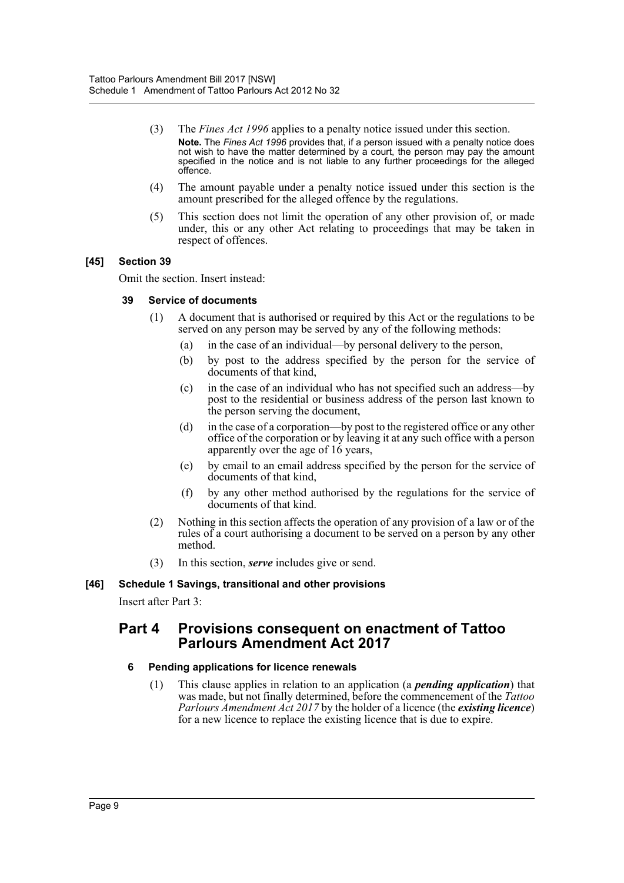- (3) The *Fines Act 1996* applies to a penalty notice issued under this section. **Note.** The *Fines Act 1996* provides that, if a person issued with a penalty notice does not wish to have the matter determined by a court, the person may pay the amount specified in the notice and is not liable to any further proceedings for the alleged offence.
- (4) The amount payable under a penalty notice issued under this section is the amount prescribed for the alleged offence by the regulations.
- (5) This section does not limit the operation of any other provision of, or made under, this or any other Act relating to proceedings that may be taken in respect of offences.

#### **[45] Section 39**

Omit the section. Insert instead:

#### **39 Service of documents**

- (1) A document that is authorised or required by this Act or the regulations to be served on any person may be served by any of the following methods:
	- (a) in the case of an individual—by personal delivery to the person,
	- (b) by post to the address specified by the person for the service of documents of that kind,
	- (c) in the case of an individual who has not specified such an address—by post to the residential or business address of the person last known to the person serving the document,
	- (d) in the case of a corporation—by post to the registered office or any other office of the corporation or by leaving it at any such office with a person apparently over the age of 16 years,
	- (e) by email to an email address specified by the person for the service of documents of that kind,
	- (f) by any other method authorised by the regulations for the service of documents of that kind.
- (2) Nothing in this section affects the operation of any provision of a law or of the rules of a court authorising a document to be served on a person by any other method.
- (3) In this section, *serve* includes give or send.

#### **[46] Schedule 1 Savings, transitional and other provisions**

Insert after Part 3:

## **Part 4 Provisions consequent on enactment of Tattoo Parlours Amendment Act 2017**

#### **6 Pending applications for licence renewals**

(1) This clause applies in relation to an application (a *pending application*) that was made, but not finally determined, before the commencement of the *Tattoo Parlours Amendment Act 2017* by the holder of a licence (the *existing licence*) for a new licence to replace the existing licence that is due to expire.